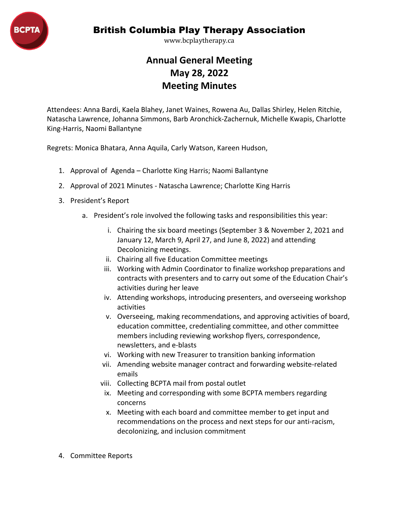

www.bcplaytherapy.ca

# **Annual General Meeting May 28, 2022 Meeting Minutes**

Attendees: Anna Bardi, Kaela Blahey, Janet Waines, Rowena Au, Dallas Shirley, Helen Ritchie, Natascha Lawrence, Johanna Simmons, Barb Aronchick-Zachernuk, Michelle Kwapis, Charlotte King-Harris, Naomi Ballantyne

Regrets: Monica Bhatara, Anna Aquila, Carly Watson, Kareen Hudson,

- 1. Approval of Agenda Charlotte King Harris; Naomi Ballantyne
- 2. Approval of 2021 Minutes Natascha Lawrence; Charlotte King Harris
- 3. President's Report
	- a. President's role involved the following tasks and responsibilities this year:
		- i. Chairing the six board meetings (September 3 & November 2, 2021 and January 12, March 9, April 27, and June 8, 2022) and attending Decolonizing meetings.
		- ii. Chairing all five Education Committee meetings
		- iii. Working with Admin Coordinator to finalize workshop preparations and contracts with presenters and to carry out some of the Education Chair's activities during her leave
		- iv. Attending workshops, introducing presenters, and overseeing workshop activities
		- v. Overseeing, making recommendations, and approving activities of board, education committee, credentialing committee, and other committee members including reviewing workshop flyers, correspondence, newsletters, and e-blasts
		- vi. Working with new Treasurer to transition banking information
		- vii. Amending website manager contract and forwarding website-related emails
		- viii. Collecting BCPTA mail from postal outlet
		- ix. Meeting and corresponding with some BCPTA members regarding concerns
		- x. Meeting with each board and committee member to get input and recommendations on the process and next steps for our anti-racism, decolonizing, and inclusion commitment
- 4. Committee Reports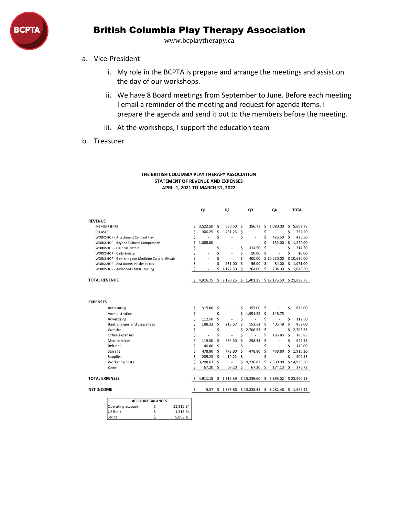

www.bcplaytherapy.ca

#### a. Vice-President

- i. My role in the BCPTA is prepare and arrange the meetings and assist on the day of our workshops.
- ii. We have 8 Board meetings from September to June. Before each meeting I email a reminder of the meeting and request for agenda items. I prepare the agenda and send it out to the members before the meeting.
- iii. At the workshops, I support the education team

### b. Treasurer

Stripe

#### THE BRITISH COLUMBIA PLAY THERAPY ASSOCIATION STATEMENT OF REVENUE AND EXPENSES APRIL 1, 2021 TO MARCH 31, 2022

|                       |                                                    |                         |           |                          | Q1             |                | Q <sub>2</sub> |                        | Q3          |                           | Q4          |             | <b>TOTAL</b> |
|-----------------------|----------------------------------------------------|-------------------------|-----------|--------------------------|----------------|----------------|----------------|------------------------|-------------|---------------------------|-------------|-------------|--------------|
| <b>REVENUE</b>        |                                                    |                         |           |                          |                |                |                |                        |             |                           |             |             |              |
| <b>MEMBERSHIPS</b>    |                                                    |                         |           | \$                       | 3,522.50       | \$             | 650.50         | \$                     | 356.75      | \$                        | 1,080.00    | \$          | 5,609.75     |
| <b>EBLASTS</b>        |                                                    |                         |           | \$                       | 306.25         | \$             | 431.25         | \$                     |             | \$                        |             | \$          | 737.50       |
|                       | WORKSHOP - Attachment Centred Play                 |                         | \$        |                          | \$             | ٠              | \$             |                        | \$          | 425.50                    | Ś           | 425.50      |              |
|                       | <b>WORKSHOP - Beyond Cultural Competancy</b>       |                         | \$        | 1,088.00                 |                |                |                |                        | Ś           | 152.00                    | Ŝ.          | 1,240.00    |              |
|                       | <b>WORKSHOP - Clair Melenthin</b>                  |                         | \$        |                          | \$             |                | \$             | 314.50                 | \$          |                           | Ś           | 314.50      |              |
|                       | <b>WORKSHOP - Carly Syriste</b>                    |                         | \$        | $\overline{a}$           | \$             | $\overline{a}$ | \$             | 10.00                  | Ś           | $\overline{a}$            | Ś           | 10.00       |              |
|                       | WORKSHOP - Gathering our Medicine Culteral Rituals |                         | \$        | $\overline{\phantom{a}}$ | \$             |                | \$             | 400.00                 |             | \$10,230.00               |             | \$10,630.00 |              |
|                       | WORKSHOP - Ana Gomez Healer in You                 |                         | \$        | $\overline{a}$           | \$             | 931.00         | \$             | 56.00                  | \$          | 84.00                     | \$          | 1,071.00    |              |
|                       | <b>WORKSHOP - Advanced EMDR Training</b>           |                         |           | \$                       | ٠              | \$             | 1,177.50       | \$                     | 264.00      | \$                        | 204.00      |             | \$1,645.50   |
| <b>TOTAL REVENUE</b>  |                                                    | \$                      | 4,916.75  | \$                       | 3,190.25       |                | \$1,401.25     |                        | \$12,175.50 |                           | \$21,683.75 |             |              |
|                       |                                                    |                         |           |                          |                |                |                |                        |             |                           |             |             |              |
| <b>EXPENSES</b>       |                                                    |                         |           |                          |                |                |                |                        |             |                           |             |             |              |
|                       | Accounting                                         |                         |           | \$                       | 315.00         | \$             |                | \$                     | 357.00      | \$                        |             | \$          | 672.00       |
|                       | Administration                                     |                         |           | \$                       |                | \$             | ä,             | \$                     | 1,951.25    | \$                        | 148.75      |             |              |
|                       | Advertising                                        |                         |           | \$                       | 112.50         | \$             |                | \$                     |             | \$                        |             | \$          | 112.50       |
|                       | Bank charges and Stripe fees                       |                         |           | \$                       | 188.32         | Ś              | 215.67         | \$                     | 153.52      | Ś.                        | 405.49      | \$          | 963.00       |
|                       | Website                                            |                         |           | \$                       | $\overline{a}$ | \$             |                | \$                     | 2.706.53    | \$                        |             | \$          | 2,706.53     |
|                       | Office expenses                                    |                         |           | \$                       |                | \$             |                | \$                     |             | Ś                         | 185.85      | Ś           | 185.85       |
|                       | Memberships                                        |                         |           | \$                       | 115.50         | Ś              | 535.50         | Ś                      | 298.43      | \$                        |             | Ś           | 949.43       |
|                       | Refunds                                            |                         |           | \$                       | 140.00         | \$             |                | \$                     |             | \$                        |             | \$          | 140.00       |
|                       | Storage                                            |                         |           | \$                       | 478.80         | Ś              | 478.80         | Ś.                     | 478.80      | \$                        | 478.80      | \$          | 1,915.20     |
|                       | <b>Supplies</b>                                    |                         |           | \$                       | 285.23         | Ś              | 19.22          | \$                     |             | \$                        |             | \$          | 304.45       |
|                       | Workshop costs                                     |                         |           | \$                       | 3,208.63       | Ś              |                | \$                     | 9,226.87    | Ś                         | 2,500.00    |             | \$14,935.50  |
|                       | Zoom                                               |                         |           | \$                       | 67.20          | Ś              | 67.20          | \$                     | 67.20       | Ś                         | 174.13      | Ś           | 375.73       |
| <b>TOTAL EXPENSES</b> |                                                    |                         | Ŝ.        | 4,911.18                 | \$.            | 1,316.39       |                | \$15,239.60            |             | \$3,893.02                |             | \$23,260.19 |              |
| <b>NET INCOME</b>     |                                                    |                         | \$        | 5.57                     | Ś              |                |                | 1,873.86 - \$13,838.35 |             | $$8,282.48$ - $$1,576.44$ |             |             |              |
|                       |                                                    | <b>ACCOUNT BALANCES</b> |           |                          |                |                |                |                        |             |                           |             |             |              |
|                       | Operating account                                  | \$                      | 11,915.24 |                          |                |                |                |                        |             |                           |             |             |              |
|                       | <b>US Bank</b>                                     | \$                      | 1,515.54  |                          |                |                |                |                        |             |                           |             |             |              |

5,882.10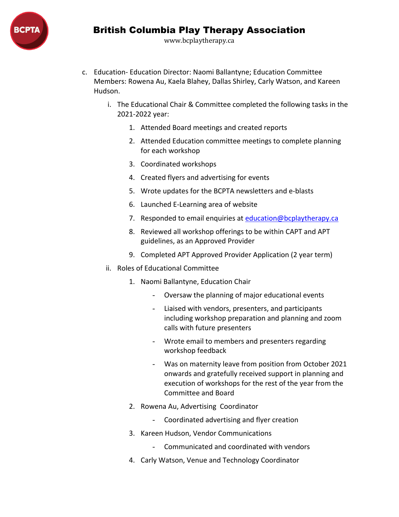

- c. Education- Education Director: Naomi Ballantyne; Education Committee Members: Rowena Au, Kaela Blahey, Dallas Shirley, Carly Watson, and Kareen Hudson.
	- i. The Educational Chair & Committee completed the following tasks in the 2021-2022 year:
		- 1. Attended Board meetings and created reports
		- 2. Attended Education committee meetings to complete planning for each workshop
		- 3. Coordinated workshops
		- 4. Created flyers and advertising for events
		- 5. Wrote updates for the BCPTA newsletters and e-blasts
		- 6. Launched E-Learning area of website
		- 7. Responded to email enquiries at [education@bcplaytherapy.ca](about:blank)
		- 8. Reviewed all workshop offerings to be within CAPT and APT guidelines, as an Approved Provider
		- 9. Completed APT Approved Provider Application (2 year term)
	- ii. Roles of Educational Committee
		- 1. Naomi Ballantyne, Education Chair
			- Oversaw the planning of major educational events
			- Liaised with vendors, presenters, and participants including workshop preparation and planning and zoom calls with future presenters
			- Wrote email to members and presenters regarding workshop feedback
			- Was on maternity leave from position from October 2021 onwards and gratefully received support in planning and execution of workshops for the rest of the year from the Committee and Board
		- 2. Rowena Au, Advertising Coordinator
			- Coordinated advertising and flyer creation
		- 3. Kareen Hudson, Vendor Communications
			- Communicated and coordinated with vendors
		- 4. Carly Watson, Venue and Technology Coordinator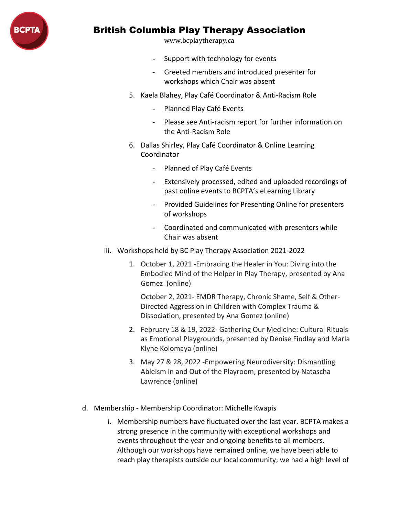

www.bcplaytherapy.ca

- Support with technology for events
- Greeted members and introduced presenter for workshops which Chair was absent
- 5. Kaela Blahey, Play Café Coordinator & Anti-Racism Role
	- Planned Play Café Events
	- Please see Anti-racism report for further information on the Anti-Racism Role
- 6. Dallas Shirley, Play Café Coordinator & Online Learning Coordinator
	- Planned of Play Café Events
	- Extensively processed, edited and uploaded recordings of past online events to BCPTA's eLearning Library
	- Provided Guidelines for Presenting Online for presenters of workshops
	- Coordinated and communicated with presenters while Chair was absent
- iii. Workshops held by BC Play Therapy Association 2021-2022
	- 1. October 1, 2021 -Embracing the Healer in You: Diving into the Embodied Mind of the Helper in Play Therapy, presented by Ana Gomez (online)

October 2, 2021- EMDR Therapy, Chronic Shame, Self & Other-Directed Aggression in Children with Complex Trauma & Dissociation, presented by Ana Gomez (online)

- 2. February 18 & 19, 2022- Gathering Our Medicine: Cultural Rituals as Emotional Playgrounds, presented by Denise Findlay and Marla Klyne Kolomaya (online)
- 3. May 27 & 28, 2022 -Empowering Neurodiversity: Dismantling Ableism in and Out of the Playroom, presented by Natascha Lawrence (online)
- d. Membership Membership Coordinator: Michelle Kwapis
	- i. Membership numbers have fluctuated over the last year. BCPTA makes a strong presence in the community with exceptional workshops and events throughout the year and ongoing benefits to all members. Although our workshops have remained online, we have been able to reach play therapists outside our local community; we had a high level of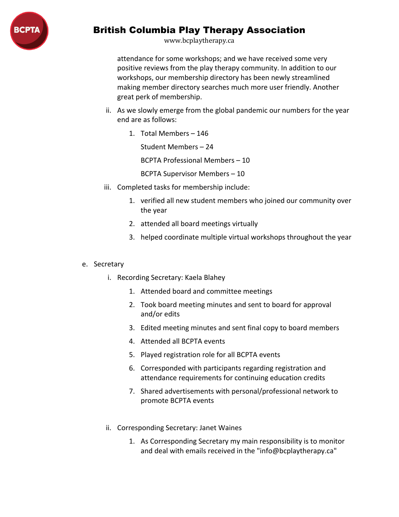

www.bcplaytherapy.ca

attendance for some workshops; and we have received some very positive reviews from the play therapy community. In addition to our workshops, our membership directory has been newly streamlined making member directory searches much more user friendly. Another great perk of membership.

- ii. As we slowly emerge from the global pandemic our numbers for the year end are as follows:
	- 1. Total Members 146

Student Members – 24 BCPTA Professional Members – 10 BCPTA Supervisor Members – 10

- iii. Completed tasks for membership include:
	- 1. verified all new student members who joined our community over the year
	- 2. attended all board meetings virtually
	- 3. helped coordinate multiple virtual workshops throughout the year

### e. Secretary

- i. Recording Secretary: Kaela Blahey
	- 1. Attended board and committee meetings
	- 2. Took board meeting minutes and sent to board for approval and/or edits
	- 3. Edited meeting minutes and sent final copy to board members
	- 4. Attended all BCPTA events
	- 5. Played registration role for all BCPTA events
	- 6. Corresponded with participants regarding registration and attendance requirements for continuing education credits
	- 7. Shared advertisements with personal/professional network to promote BCPTA events
- ii. Corresponding Secretary: Janet Waines
	- 1. As Corresponding Secretary my main responsibility is to monitor and deal with emails received in the "info@bcplaytherapy.ca"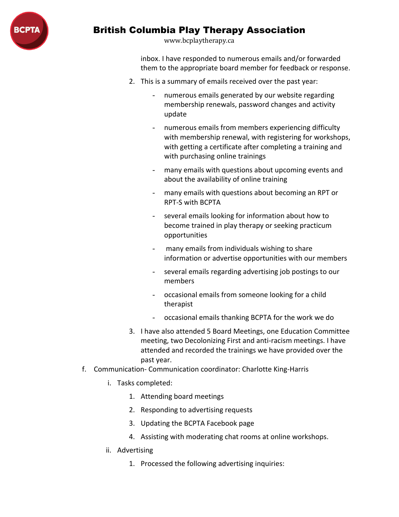

www.bcplaytherapy.ca

inbox. I have responded to numerous emails and/or forwarded them to the appropriate board member for feedback or response.

- 2. This is a summary of emails received over the past year:
	- numerous emails generated by our website regarding membership renewals, password changes and activity update
	- numerous emails from members experiencing difficulty with membership renewal, with registering for workshops, with getting a certificate after completing a training and with purchasing online trainings
	- many emails with questions about upcoming events and about the availability of online training
	- many emails with questions about becoming an RPT or RPT-S with BCPTA
	- several emails looking for information about how to become trained in play therapy or seeking practicum opportunities
	- many emails from individuals wishing to share information or advertise opportunities with our members
	- several emails regarding advertising job postings to our members
	- occasional emails from someone looking for a child therapist
	- occasional emails thanking BCPTA for the work we do
- 3. I have also attended 5 Board Meetings, one Education Committee meeting, two Decolonizing First and anti-racism meetings. I have attended and recorded the trainings we have provided over the past year.
- f. Communication- Communication coordinator: Charlotte King-Harris
	- i. Tasks completed:
		- 1. Attending board meetings
		- 2. Responding to advertising requests
		- 3. Updating the BCPTA Facebook page
		- 4. Assisting with moderating chat rooms at online workshops.
	- ii. Advertising
		- 1. Processed the following advertising inquiries: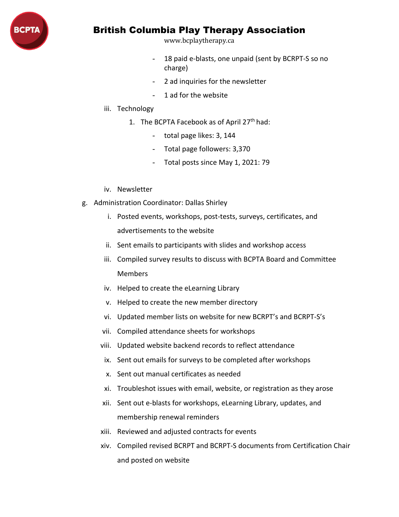

- 18 paid e-blasts, one unpaid (sent by BCRPT-S so no charge)
- 2 ad inquiries for the newsletter
- 1 ad for the website
- iii. Technology
	- 1. The BCPTA Facebook as of April 27<sup>th</sup> had:
		- total page likes: 3, 144
		- Total page followers: 3,370
		- Total posts since May 1, 2021: 79
- iv. Newsletter
- g. Administration Coordinator: Dallas Shirley
	- i. Posted events, workshops, post-tests, surveys, certificates, and advertisements to the website
	- ii. Sent emails to participants with slides and workshop access
	- iii. Compiled survey results to discuss with BCPTA Board and Committee **Members**
	- iv. Helped to create the eLearning Library
	- v. Helped to create the new member directory
	- vi. Updated member lists on website for new BCRPT's and BCRPT-S's
	- vii. Compiled attendance sheets for workshops
	- viii. Updated website backend records to reflect attendance
	- ix. Sent out emails for surveys to be completed after workshops
	- x. Sent out manual certificates as needed
	- xi. Troubleshot issues with email, website, or registration as they arose
	- xii. Sent out e-blasts for workshops, eLearning Library, updates, and membership renewal reminders
	- xiii. Reviewed and adjusted contracts for events
	- xiv. Compiled revised BCRPT and BCRPT-S documents from Certification Chair and posted on website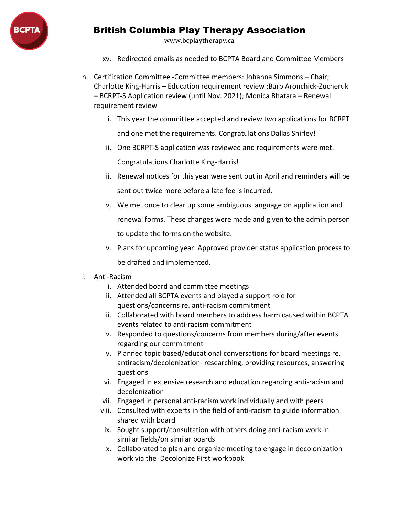

www.bcplaytherapy.ca

- xv. Redirected emails as needed to BCPTA Board and Committee Members
- h. Certification Committee -Committee members: Johanna Simmons Chair; Charlotte King-Harris – Education requirement review ;Barb Aronchick-Zucheruk – BCRPT-S Application review (until Nov. 2021); Monica Bhatara – Renewal requirement review
	- i. This year the committee accepted and review two applications for BCRPT and one met the requirements. Congratulations Dallas Shirley!
	- ii. One BCRPT-S application was reviewed and requirements were met.

Congratulations Charlotte King-Harris!

- iii. Renewal notices for this year were sent out in April and reminders will be sent out twice more before a late fee is incurred.
- iv. We met once to clear up some ambiguous language on application and renewal forms. These changes were made and given to the admin person

to update the forms on the website.

- v. Plans for upcoming year: Approved provider status application process to be drafted and implemented.
- i. Anti-Racism
	- i. Attended board and committee meetings
	- ii. Attended all BCPTA events and played a support role for questions/concerns re. anti-racism commitment
	- iii. Collaborated with board members to address harm caused within BCPTA events related to anti-racism commitment
	- iv. Responded to questions/concerns from members during/after events regarding our commitment
	- v. Planned topic based/educational conversations for board meetings re. antiracism/decolonization- researching, providing resources, answering questions
	- vi. Engaged in extensive research and education regarding anti-racism and decolonization
	- vii. Engaged in personal anti-racism work individually and with peers
	- viii. Consulted with experts in the field of anti-racism to guide information shared with board
	- ix. Sought support/consultation with others doing anti-racism work in similar fields/on similar boards
	- x. Collaborated to plan and organize meeting to engage in decolonization work via the Decolonize First workbook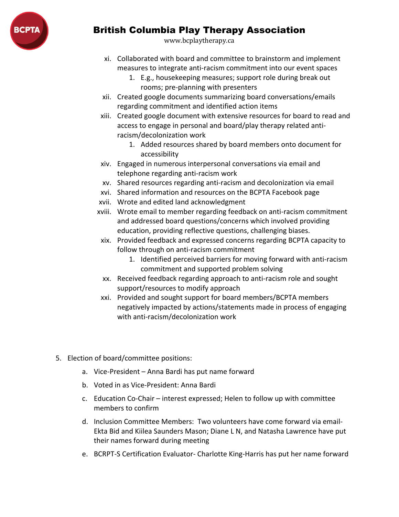

- xi. Collaborated with board and committee to brainstorm and implement measures to integrate anti-racism commitment into our event spaces
	- 1. E.g., housekeeping measures; support role during break out rooms; pre-planning with presenters
- xii. Created google documents summarizing board conversations/emails regarding commitment and identified action items
- xiii. Created google document with extensive resources for board to read and access to engage in personal and board/play therapy related antiracism/decolonization work
	- 1. Added resources shared by board members onto document for accessibility
- xiv. Engaged in numerous interpersonal conversations via email and telephone regarding anti-racism work
- xv. Shared resources regarding anti-racism and decolonization via email
- xvi. Shared information and resources on the BCPTA Facebook page
- xvii. Wrote and edited land acknowledgment
- xviii. Wrote email to member regarding feedback on anti-racism commitment and addressed board questions/concerns which involved providing education, providing reflective questions, challenging biases.
- xix. Provided feedback and expressed concerns regarding BCPTA capacity to follow through on anti-racism commitment
	- 1. Identified perceived barriers for moving forward with anti-racism commitment and supported problem solving
- xx. Received feedback regarding approach to anti-racism role and sought support/resources to modify approach
- xxi. Provided and sought support for board members/BCPTA members negatively impacted by actions/statements made in process of engaging with anti-racism/decolonization work
- 5. Election of board/committee positions:
	- a. Vice-President Anna Bardi has put name forward
	- b. Voted in as Vice-President: Anna Bardi
	- c. Education Co-Chair interest expressed; Helen to follow up with committee members to confirm
	- d. Inclusion Committee Members: Two volunteers have come forward via email-Ekta Bid and Kiilea Saunders Mason; Diane L N, and Natasha Lawrence have put their names forward during meeting
	- e. BCRPT-S Certification Evaluator- Charlotte King-Harris has put her name forward